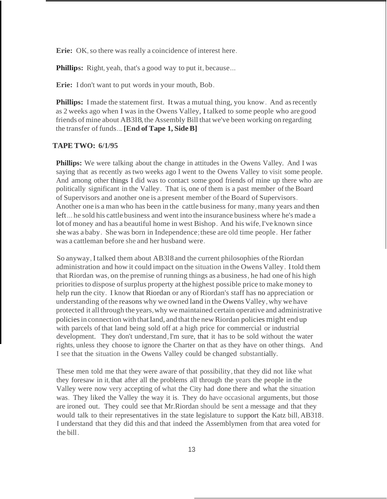**Erie:** OK, so there was really a coincidence of interest here.

**Phillips:** Right, yeah, that's a good way to put it, because...

**Erie:** I don't want to put words in your mouth, Bob.

**Phillips:** I made the statement first. It was a mutual thing, you know. And as recently as 2 weeks ago when I was in the Owens Valley, Italked to some people who are good friends of mine about AB3l8,the Assembly Bill that we've been working on regarding the transfer of funds... **[End of Tape 1, SideB]**

## **TAPE TWO: 6/1/95**

**Phillips:** We were talking about the change in attitudes in the Owens Valley. And I was saying that as recently as two weeks ago I went to the Owens Valley to visit some people. And among other things I did was to contact some good friends of mine up there who are politically significant in the Valley. That is, one of them is a past member of the Board of Supervisors and another one is a present member ofthe Board of Supervisors. Another one is a man who has been in the cattle business for many, many years and then left... he sold his cattle business and went into the insurance business where he's made a lot of money and has a beautiful home in west Bishop. And his wife, I've known since she was a baby. She was born in Independence;these are old time people. Her father was a cattleman before she and her husband were.

So anyway,I talked them about AB3l8and the current philosophies oftheRiordan administration and how it could impact on the situation in the Owens Valley. Itold them that Riordan was, on the premise ofrunning things as a business, he had one of his high priorities to dispose ofsurplus property at the highest possible price to make money to help run the city. I know that Riordan or any of Riordan's staff has no appreciation or understanding of the reasons why we owned land in the Owens Valley, why we have protected it all through the years,why we maintained certain operative and administrative policiesin connection with that land, and that the new Riordan policies might end up with parcels of that land being sold off at a high price for commercial or industrial development. They don't understand,I'm sure, that it has to be sold without the water rights, unless they choose to ignore the Charter on that as they have on other things. And I see that the situation in the Owens Valley could be changed substantially.

These men told me that they were aware of that possibility, that they did not like what they foresaw in it,that after all the problems all through the years the people in the Valley were now very accepting of what the City had done there and what the situation was. They liked the Valley the way it is. They do have occasional arguments, but those are ironed out. They could see that Mr.Riordan should be sent a message and that they would talk to their representatives in the state legislature to support the Katz bill, AB318. I understand that they did this and that indeed the Assemblymen from that area voted for the bill.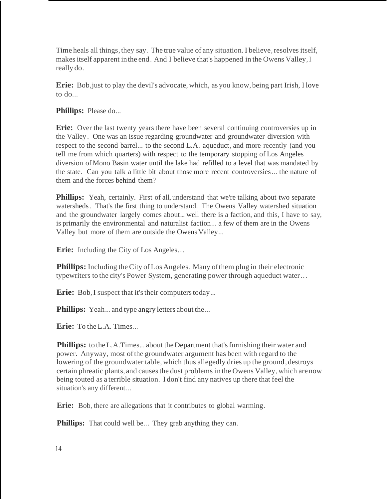Time heals all things, they say. The true value of any situation. I believe, resolves itself, makes itself apparent in the end. And I believe that's happened in the Owens Valley, I really do.

**Erie:** Bob,just to play the devil's advocate, which, as you know,being part Irish, I love to do...

**Phillips:** Please do...

**Erie:** Over the last twenty years there have been several continuing controversies up in the Valley . One was an issue regarding groundwater and groundwater diversion with respect to the second barrel... to the second L.A. aqueduct, and more recently (and you tell me from which quarters) with respect to the temporary stopping of Los Angeles diversion of Mono Basin water until the lake had refilled to a level that was mandated by the state. Can you talk a little bit about those more recent controversies... the nature of them and the forces behind them?

**Phillips:** Yeah, certainly. First of all, understand that we're talking about two separate watersheds. That's the first thing to understand. The Owens Valley watershed situation and the groundwater largely comes about... well there is a faction, and this, I have to say, is primarily the environmental and naturalist faction... a few of them are in the Owens Valley but more of them are outside the Owens Valley...

**Erie:** Including the City of Los Angeles…

**Phillips:** Including the City of Los Angeles. Many of them plug in their electronic typewriters to the city's Power System, generating power through aqueduct water…

**Erie:** Bob, I suspect that it's their computers today...

**Phillips:** Yeah... and type angry letters about the...

**Erie:** To the L.A. Times...

**Phillips:** to the L.A.Times... about the Department that's furnishing their water and power. Anyway, most ofthe groundwater argument has been with regard to the lowering of the groundwater table, which thus allegedly dries up the ground, destroys certain phreatic plants, and causes the dust problems in the Owens Valley, which are now being touted as a terrible situation. I don't find any natives up there that feel the situation's any different...

**Erie:** Bob, there are allegations that it contributes to global warming.

**Phillips:** That could well be... They grab anything they can.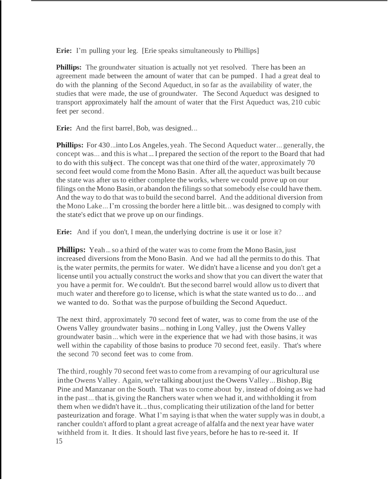**Erie:** I'm pulling your leg. [Erie speaks simultaneously to Phillips]

**Phillips:** The groundwater situation is actually not yet resolved. There has been an agreement made between the amount of water that can be pumped . I had a great deal to do with the planning of the Second Aqueduct, in so far as the availability of water, the studies that were made, the use of groundwater. The Second Aqueduct was designed to transport approximately half the amount of water that the First Aqueduct was, 210 cubic feet per second.

**Erie:** And the first barrel, Bob, was designed...

Phillips: For 430...into Los Angeles, yeah. The Second Aqueduct water... generally, the concept was... and this is what...I prepared the section of the report to the Board that had to do with this subject. The concept was that one third of the water, approximately 70 second feet would come from the Mono Basin. After all, the aqueduct was built because the state was after us to either complete the works, where we could prove up on our filings on the Mono Basin, or abandon the filings so that somebody else could have them. And the way to do that wasto build the second barrel. And the additional diversion from the Mono Lake...I'm crossing the border here a little bit... was designed to comply with the state's edict that we prove up on our findings.

Erie: And if you don't, I mean, the underlying doctrine is use it or lose it?

**Phillips:** Yeah... so a third of the water was to come from the Mono Basin, just increased diversions from the Mono Basin. And we had all the permits to do this. That is, the water permits, the permits for water. We didn't have a license and you don't get a license until you actually construct the works and show that you can divert the water that you have a permit for. We couldn't. But the second barrel would allow usto divert that much water and therefore go to license, which is what the state wanted usto do… and we wanted to do. So that wasthe purpose of building the Second Aqueduct.

The next third, approximately 70 second feet of water, was to come from the use of the Owens Valley groundwater basins... nothing in Long Valley, just the Owens Valley groundwater basin ... which were in the experience that we had with those basins, it was well within the capability of those basins to produce 70 second feet, easily. That's where the second 70 second feet was to come from.

The third, roughly 70 second feet was to come from a revamping of our agricultural use inthe Owens Valley. Again, we're talking aboutjust the Owens Valley...Bishop,Big Pine and Manzanar on the South. That was to come about by, instead of doing as we had in the past... that is,giving the Ranchers water when we had it, and withholding it from them when we didn't have it...thus, complicating their utilization ofthe land for better pasteurization and forage. What I'm saying isthat when the water supply was in doubt, a rancher couldn't afford to plant a great acreage of alfalfa and the next year have water withheld from it. It dies. It should last five years, before he has to re-seed it. If 15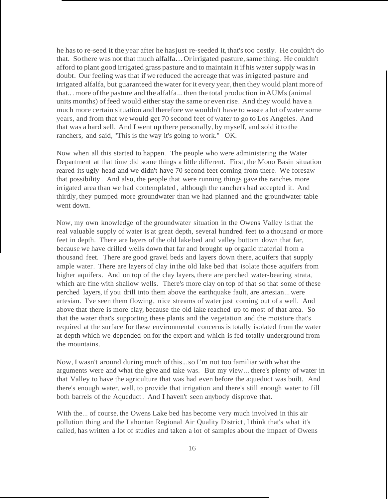he has to re-seed it the year after he has just re-seeded it, that's too costly. He couldn't do that. Sothere was not that much alfalfa…Or irrigated pasture,same thing. He couldn't afford to plant good irrigated grass pasture and to maintain it if his water supply wasin doubt. Our feeling wasthat if we reduced the acreage that was irrigated pasture and irrigated alfalfa, but guaranteed the water forit every year,then they would plant more of that...more ofthe pasture and the alfalfa...then the total production inAUMs (animal units months) of feed would either stay the same or even rise. And they would have a much more certain situation and therefore wewouldn't have to waste a lot of water some years, and from that we would get 70 second feet of water to go to Los Angeles. And that was a hard sell. And Iwent up there personally, by myself, and sold it to the ranchers, and said, "This is the way it's going to work." OK.

Now when all this started to happen. The people who were administering the Water Department at that time did some things a little different. First, the Mono Basin situation reared its ugly head and we didn't have 70 second feet coming from there. We foresaw that possibility . And also, the people that were running things gave the ranches more irrigated area than we had contemplated , although the ranchers had accepted it. And thirdly, they pumped more groundwater than we had planned and the groundwater table went down.

Now, my own knowledge of the groundwater situation in the Owens Valley isthat the real valuable supply of water is at great depth, several hundred feet to a thousand or more feet in depth. There are layers of the old lake bed and valley bottom down that far, because we have drilled wells down that far and brought up organic material from a thousand feet. There are good gravel beds and layers down there, aquifers that supply ample water. There are layers of clay in the old lake bed that isolate those aquifers from higher aquifers. And on top of the clay layers, there are perched water-bearing strata, which are fine with shallow wells. There's more clay on top of that so that some of these perched layers, if you drill into them above the earthquake fault, are artesian...were artesian. I've seen them flowing, nice streams of water just coming out of a well. And above that there is more clay, because the old lake reached up to most of that area. So that the water that's supporting these plants and the vegetation and the moisture that's required at the surface for these environmental concerns is totally isolated from the water at depth which we depended on for the export and which is fed totally underground from the mountains.

Now,I wasn't around during much ofthis...so I'm not too familiar with what the arguments were and what the give and take was. But my view... there's plenty of water in that Valley to have the agriculture that was had even before the aqueduct was built. And there's enough water, well, to provide that irrigation and there's still enough water to fill both barrels of the Aqueduct. And I haven't seen anybody disprove that.

With the... of course, the Owens Lake bed has become very much involved in this air pollution thing and the Lahontan Regional Air Quality District, I think that's what it's called, has written a lot of studies and taken a lot of samples about the impact of Owens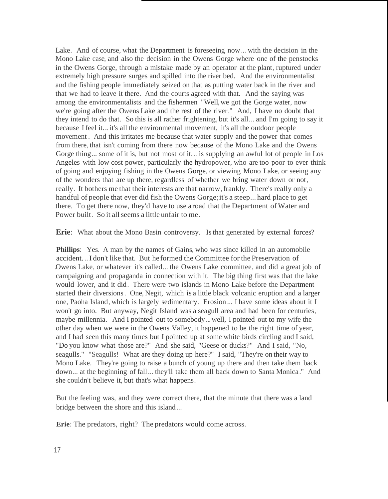Lake. And of course, what the Department is foreseeing now... with the decision in the Mono Lake case, and also the decision in the Owens Gorge where one of the penstocks in the Owens Gorge, through a mistake made by an operator at the plant, ruptured under extremely high pressure surges and spilled into the river bed. And the environmentalist and the fishing people immediately seized on that as putting water back in the river and that we had to leave it there. And the courts agreed with that. And the saying was among the environmentalists and the fishermen "Well, we got the Gorge water, now we're going after the Owens Lake and the rest of the river." And, I have no doubt that they intend to do that. So this is all rather frightening, but it's all... and I'm going to say it because I feel it...it's all the environmental movement, it's all the outdoor people movement . And this irritates me because that water supply and the power that comes from there, that isn't coming from there now because of the Mono Lake and the Owens Gorge thing... some of it is, but not most of it... is supplying an awful lot of people in Los Angeles with low cost power, particularly the hydropower, who are too poor to ever think of going and enjoying fishing in the Owens Gorge, or viewing Mono Lake, or seeing any of the wonders that are up there, regardless of whether we bring water down or not, really. It bothers me that their interests are that narrow, frankly. There's really only a handful of people that ever did fish the Owens Gorge;it's a steep... hard place to get there. To get there now, they'd have to use a road that the Department of Water and Power built. So it all seems a little unfair to me.

**Erie:** What about the Mono Basin controversy. Is that generated by external forces?

**Phillips:** Yes. A man by the names of Gains, who was since killed in an automobile accident...I don't like that. But he formed the Committee for the Preservation of .Owens Lake, or whatever it's called... the Owens Lake committee, and did a great job of campaigning and propaganda in connection with it. The big thing first was that the lake would lower, and it did. There were two islands in Mono Lake before the Department started their diversions. One, Negit, which is a little black volcanic eruption and a larger one, Paoha Island, which is largely sedimentary. Erosion ... I have some ideas about it I won't go into. But anyway, Negit Island was a seagull area and had been for centuries, maybe millennia. And I pointed out to somebody...well, I pointed out to my wife the other day when we were in the Owens Valley, it happened to be the right time of year, and I had seen this many times but I pointed up at some white birds circling and I said, "Do you know what those are?" And she said, "Geese or ducks?" And I said, "No, seagulls." "Seagulls! What are they doing up here?" I said, "They're on their way to Mono Lake. They're going to raise a bunch of young up there and then take them back down... at the beginning of fall... they'll take them all back down to Santa Monica." And she couldn't believe it, but that's what happens.

But the feeling was, and they were correct there, that the minute that there was a land bridge between the shore and this island...

**Erie**: The predators, right? The predators would come across.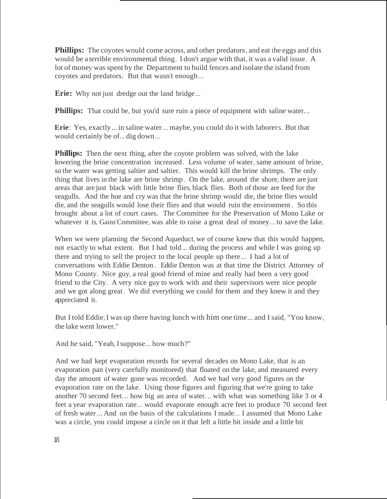**Phillips:** The coyotes would come across, and other predators, and eat the eggs and this would be a terrible environmental thing. I don't argue with that, it was a valid issue. A lot of money was spent by the Department to build fences and isolate the island from coyotes and predators. But that wasn't enough...

**Erie:** Why not just dredge out the land bridge...

**Phillips:** That could be, but you'd sure ruin a piece of equipment with saline water...

**Erie**: Yes, exactly... in saline water... maybe, you could do it with laborers. But that would certainly be of... dig down...

**Phillips:** Then the next thing, after the coyote problem was solved, with the lake lowering the brine concentration increased. Less volume of water, same amount of brine, so the water was getting saltier and saltier. This would kill the brine shrimps. The only thing that lives in the lake are brine shrimp. On the lake, around the shore, there are just areas that are just black with little brine flies, black flies. Both of those are feed for the seagulls. And the hue and cry was that the brine shrimp would die, the brine flies would die, and the seagulls would lose their flies and that would ruin the environment . So this brought about a lot of court cases. The Committee for the Preservation of Mono Lake or whatever it is, Gains'Committee, was able to raise a great deal of money... to save the lake.

When we were planning the Second Aqueduct, we of course knew that this would happen, not exactly to what extent. But I had told... during the process and while I was going up there and trying to sell the project to the local people up there... I had a lot of conversations with Eddie Denton . Eddie Denton was at that time the District Attorney of Mono County. Nice guy, a real good friend of mine and really had been a very good friend to the City. A very nice guy to work with and their supervisors were nice people and we got along great. We did everything we could for them and they knew it and they appreciated it.

But I told Eddie,I was up there having lunch with him one time... and I said, "You know, the lake went lower."

And he said, "Yeah, I suppose... how much?"

And we had kept evaporation records for several decades on Mono Lake, that is an evaporation pan (very carefully monitored) that floated on the lake, and measured every day the amount of water gone was recorded. And we had very good figures on the evaporation rate on the lake. Using those figures and figuring that we're going to take another 70 second feet... how big an area of water. .. with what was something like 3 or 4 feet a year evaporation rate... would evaporate enough acre feet to produce 70 second feet of fresh water... And on the basis of the calculations I made... I assumed that Mono Lake was a circle, you could impose a circle on it that left a little bit inside and a little bit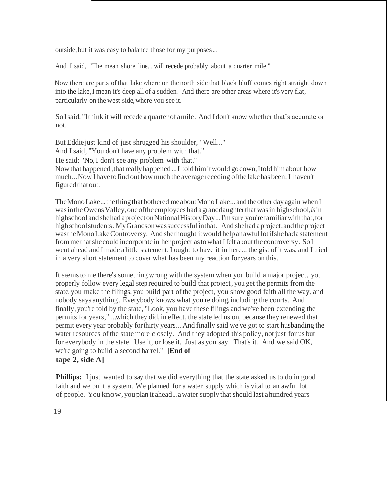outside, but it was easy to balance those for my purposes...

And I said, "The mean shore line... will recede probably about a quarter mile."

Now there are parts ofthat lake where on the north side that black bluff comes right straight down into the lake,I mean it's deep all of a sudden. And there are other areas where it's very flat, particularly on the west side,where you see it.

SoIsaid, "Ithink it will recede a quarter of amile. And Idon't know whether that's accurate or not.

But Eddie just kind of just shrugged his shoulder, "Well..." And I said, "You don't have any problem with that." He said: "No, I don't see any problem with that." Nowthat happened,thatreallyhappened...I told himitwould godown,Itold himabout how much...Now Ihavetofind out howmuch the average receding ofthe lakehasbeen. I haven't figured that out.

The Mono Lake... the thing that bothered meabout Mono Lake... and the other day again when I wasintheOwensValley,oneoftheemployees had agranddaughterthatwasin highschool,*is*in highschool and shehad aproject on National History Day... I'm sure you're familiar with that, for high school students. My Grandson was successful in that. And she had a project, and the project wastheMonoLakeControversy. And shethought itwould helpanawfullotifshehadastatement frommethatshecould incorporate in her project astowhat Ifelt aboutthe controversy. SoI went ahead and Imade alittle statement, I ought to have it in here... the gist of it was, and I tried in a very short statement to cover what has been my reaction for years on this.

It seemsto me there's something wrong with the system when you build a major project, you properly follow every legal step required to build that project, you get the permits from the state, you make the filings, you build part of the project, you show good faith all the way, and nobody says anything. Everybody knows what you're doing,including the courts. And finally,you're told by the state, "Look, you have these filings and we've been extending the permits for years," ...which they did, in effect, the state led us on, because they renewed that permit every year probably forthirty years... And finally said we've got to start husbanding the water resources of the state more closely. And they adopted this policy, not just for us but for everybody in the state. Use it, or lose it. Just as you say. That's it. And we said OK, we're going to build a second barrel." **[End of**

## **tape 2, side A]**

**Phillips:** I just wanted to say that we did everything that the state asked us to do in good faith and we built a system. We planned for a water supply which is vital to an awful lot of people. You know,you plan it ahead...awater supply thatshould last ahundred years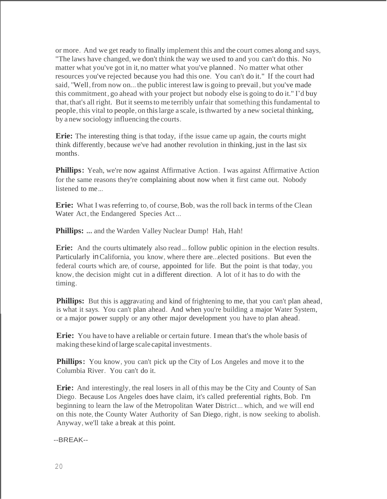or more. And we get ready to finally implement this and the court comes along and says, "The laws have changed, we don't think the way we used to and you can't do this. No matter what you've got in it, no matter what you've planned . No matter what other resources you've rejected because you had this one. You can't do it." If the court had said, "Well, from now on... the public interest law is going to prevail, but you've made this commitment, go ahead with your project but nobody else is going to do it." I'd buy that, that's all right. But it seems to me terribly unfair that something this fundamental to people, this vital to people, on thislarge a scale, isthwarted by a new societal thinking, by a new sociology influencing the courts.

**Erie:** The interesting thing is that today, ifthe issue came up again, the courts might think differently, because we've had another revolution in thinking, just in the last six months.

**Phillips:** Yeah, we're now against Affirmative Action. I was against Affirmative Action for the same reasons they're complaining about now when it first came out. Nobody listened to me...

**Erie:** What I was referring to, of course, Bob, was the roll back in terms of the Clean Water Act, the Endangered Species Act...

**Phillips: ...** and the Warden Valley Nuclear Dump! Hah, Hah!

**Erie:** And the courts ultimately also read... follow public opinion in the election results. Particularly inCalifornia, you know, where there are...elected positions. But even the federal courts which are, of course, appointed for life. But the point is that today, you know, the decision might cut in a different direction. A lot of it has to do with the timing.

**Phillips:** But this is aggravating and kind of frightening to me, that you can't plan ahead, is what it says. You can't plan ahead. And when you're building a major Water System, or a major power supply or any other major development you have to plan ahead.

**Erie:** You have to have a reliable or certain future. I mean that's the whole basis of making these kind oflarge scale capital investments.

**Phillips:** You know, you can't pick up the City of Los Angeles and move it to the Columbia River. You can't do it.

**Erie:** And interestingly, the real losers in all ofthis may be the City and County of San Diego. Because Los Angeles does have claim, it's called preferential rights, Bob. I'm beginning to learn the law of the Metropolitan Water District... which, and we will end on this note, the County Water Authority of San Diego, right, is now seeking to abolish. Anyway, we'll take a break at this point.

--BREAK--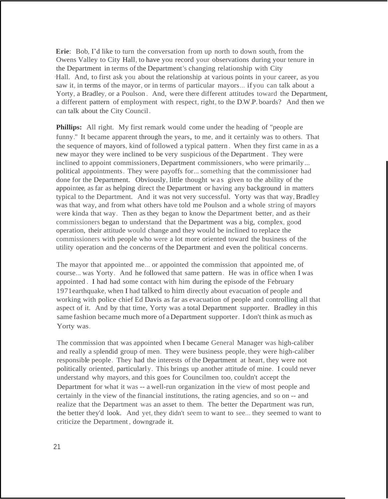**Erie**: Bob, I'd like to turn the conversation from up north to down south, from the Owens Valley to City Hall, to have you record your observations during your tenure in the Department in terms of the Department's changing relationship with City ·Hall. And, to first ask you about the relationship at various points in your career, as you saw it, in terms of the mayor, or in terms of particular mayors... ifyou can talk about a Yorty, a Bradley, or a Poulson . And, were there different attitudes toward the Department, a different pattern of employment with respect, right, to the D.W.P. boards? And then we can talk about the City Council.

**Phillips:** All right. My first remark would come under the heading of "people are funny." It became apparent through the years, to me, and it certainly was to others. That the sequence of mayors, kind of followed a typical pattern . When they first came in as a new mayor they were inclined to be very suspicious of the Department . They were inclined to appoint commissioners, Department commissioners, who were primarily... political appointments. They were payoffs for... something that the commissioner had done for the Department. Obviously, little thought w as given to the ability of the appointee, as far as helping direct the Department or having any background in matters typical to the Department. And it was not very successful. Yorty was that way, Bradley was that way, and from what others have told me Poulson and a whole string of mayors were kinda that way. Then as they began to know the Department better, and as their commissioners began to understand that the Department was a big, complex, good operation, their attitude would change and they would be inclined to replace the commissioners with people who were a lot more oriented toward the business of the utility operation and the concerns of the Department and even the political concerns.

The mayor that appointed me... or appointed the commission that appointed me, of course... was Yorty. And he followed that same pattern. He was in office when I was appointed . I had had some contact with him during the episode of the February 1971earthquake, when I had talked to him directly about evacuation of people and working with police chief Ed Davis as far as evacuation of people and controlling all that aspect of it. And by that time, Yorty was a total Department supporter. Bradley in this same fashion became much more of aDepartment supporter. I don't think asmuch as Yorty was.

The commission that was appointed when I became General Manager was high-caliber and really a splendid group of men. They were business people, they were high-caliber responsible people. They had the interests of the Department at heart, they were not politically oriented, particularly. This brings up another attitude of mine. I could never understand why mayors, and this goes for Councilmen too, couldn't accept the Department for what it was -- a well-run organization in the view of most people and certainly in the view of the financial institutions, the rating agencies, and so on -- and realize that the Department was an asset to them. The better the Department was run, the better they'd look. And yet, they didn't seem to want to see... they seemed to want to criticize the Department , downgrade it.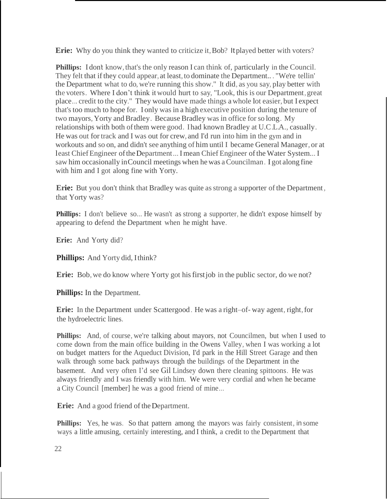**Erie:** Why do you think they wanted to criticize it, Bob? It played better with voters?

**Phillips:** I don't know, that's the only reason I can think of, particularly in the Council. They felt that if they could appear, at least, to dominate the Department.. . "We're tellin' the Department what to do, we're running this show." It did, as you say, play better with the voters. Where I don't think it would hurt to say, "Look, this is our Department,great place... credit to the city." They would have made things a whole lot easier, but I expect that's too much to hope for. I only was in a high executive position during the tenure of two mayors, Yorty and Bradley. Because Bradley was in office for so long. My relationships with both of them were good. Ihad known Bradley at U.C.L.A., casually. He was out for track and I was out for crew, and I'd run into him in the gym and in workouts and so on, and didn't see anything of him until I became General Manager, or at least Chief Engineer of the Department... I mean Chief Engineer of the Water System... I saw him occasionally inCouncil meetings when he was aCouncilman. I got along fine with him and I got along fine with Yorty.

**Erie:** But you don't think that Bradley was quite as strong a supporter of the Department, that Yorty was?

**Phillips:** I don't believe so... He wasn't as strong a supporter, he didn't expose himself by appearing to defend the Department when he might have.

**Erie:** And Yorty did?

**Phillips:** And Yorty did, Ithink?

**Erie:** Bob, we do know where Yorty got his first job in the public sector, do we not?

**Phillips:** In the Department.

**Erie:** In the Department under Scattergood. He was a right–of-way agent, right, for the hydroelectric lines.

**Phillips:** And, of course, we're talking about mayors, not Councilmen, but when I used to come down from the main office building in the Owens Valley, when I was working a lot on budget matters for the Aqueduct Division, I'd park in the Hill Street Garage and then walk through some back pathways through the buildings of the Department in the basement. And very often I'd see Gil Lindsey down there cleaning spittoons. He was always friendly and I was friendly with him. We were very cordial and when he became a City Council [member] he was a good friend of mine...

**Erie:** And a good friend of the Department.

**Phillips:** Yes, he was. So that pattern among the mayors was fairly consistent, in some ways a little amusing, certainly interesting, and I think, a credit to the Department that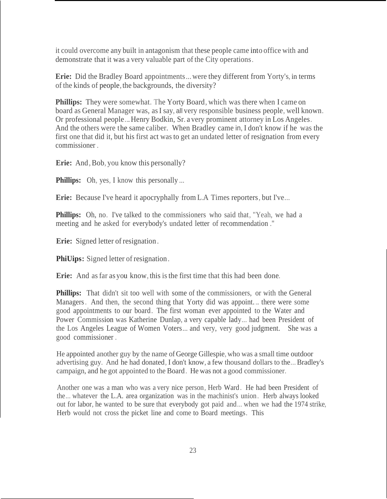it could overcome any built in antagonism that these people came into office with and demonstrate that it was a very valuable part of the City operations.

**Erie:** Did the Bradley Board appointments...were they different from Yorty's, in terms of the kinds of people,the backgrounds, the diversity?

**Phillips:** They were somewhat. The Yorty Board, which was there when I came on board as General Manager was, asI say, all very responsible business people, well known. Or professional people...Henry Bodkin, Sr. a very prominent attorney in Los Angeles. And the others were the same caliber. When Bradley came in, I don't know if he was the first one that did it, but his first act wasto get an undated letter of resignation from every commissioner .

**Erie:** And, Bob, you know this personally?

**Phillips:** Oh, yes, I know this personally ...

**Erie:** Because I've heard it apocryphally from L.A Times reporters, but I've...

**Phillips:** Oh, no. I've talked to the commissioners who said that, "Yeah, we had a meeting and he asked for everybody's undated letter of recommendation ."

**Erie:** Signed letter of resignation.

**PhiUips:** Signed letter of resignation.

**Erie:** And as far as you know, this is the first time that this had been done.

**Phillips:** That didn't sit too well with some of the commissioners, or with the General Managers. And then, the second thing that Yorty did was appoint. .. there were some good appointments to our board. The first woman ever appointed to the Water and Power Commission was Katherine Dunlap, a very capable lady... had been President of the Los Angeles League of Women Voters... and very, very good judgment. She was a good commissioner .

He appointed another guy by the name ofGeorge Gillespie, who was a small time outdoor advertising guy. And he had donated, I don't know, a few thousand dollars to the...Bradley's campaign, and he got appointed to the Board. He was not a good commissioner.

Another one was a man who was a very nice person, Herb Ward. He had been President of the... whatever the L.A. area organization was in the machinist's union. Herb always looked out for labor, he wanted to be sure that everybody got paid and... when we had the 1974 strike, Herb would not cross the picket line and come to Board meetings. This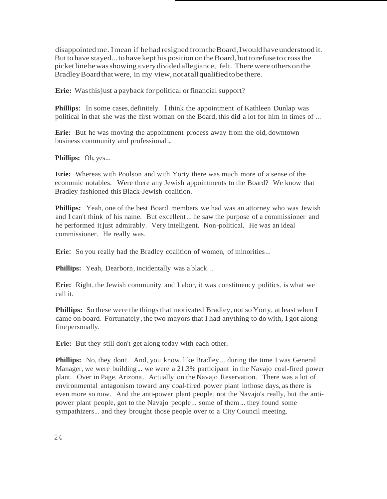disappointedme. Imean if hehadresigned fromtheBoard,Iwouldhaveunderstood it. But to have stayed... to have kept his position on the Board, but to refuse to cross the picketlinehewasshowingaverydividedallegiance, felt. Therewere others onthe BradleyBoardthatwere, in my view, not atallqualifiedtobethere.

**Erie:** Wasthisjust a payback for political orfinancial support?

**Phillips**: In some cases, definitely. I think the appointment of Kathleen Dunlap was political in that she was the first woman on the Board, this did a lot for him in times of ...

**Erie:** But he was moving the appointment process away from the old, downtown business community and professional...

**Phillips:** Oh, yes...

**Erie:** Whereas with Poulson and with Yorty there was much more of a sense of the economic notables. Were there any Jewish appointments to the Board? We know that Bradley fashioned this Black-Jewish coalition.

**Phillips:** Yeah, one of the best Board members we had was an attorney who was Jewish and I can't think of his name. But excellent... he saw the purpose of a commissioner and he performed it just admirably. Very intelligent. Non-political. He was an ideal commissioner. He really was.

**Erie:** So you really had the Bradley coalition of women, of minorities...

**Phillips:** Yeah, Dearborn, incidentally was a black. ..

**Erie:** Right, the Jewish community and Labor, it was constituency politics, is what we call it.

**Phillips:** So these were the things that motivated Bradley, not so Yorty, at least when I came on board. Fortunately, the two mayors that I had anything to do with, I got along finepersonally.

**Erie:** But they still don't get along today with each other.

**Phillips:** No, they don't. And, you know, like Bradley... during the time I was General Manager, we were building... we were a 21.3% participant in the Navajo coal-fired power plant. Over in Page, Arizona . Actually on the Navajo Reservation. There was a lot of environmental antagonism toward any coal-fired power plant inthose days, as there is even more so now. And the anti-power plant people, not the Navajo's really, but the antipower plant people, got to the Navajo people... some of them... they found some sympathizers... and they brought those people over to a City Council meeting.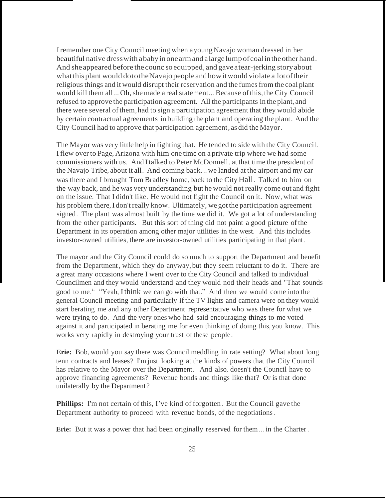Iremember one City Council meeting when ayoungNavajo woman dressed in her beautiful native dresswith ababyinonearmandalarge lumpofcoalintheother hand. And sheappeared before the counc soequipped, and gaveatear-jerking storyabout whatthisplantwould dototheNavajopeopleandhowitwould violate a lotoftheir religious things and it would disrupt their reservation and the fumes from the coal plant would kill them all... Oh, she made a real statement... Because of this, the City Council refused to approve the participation agreement. All the participants in the plant, and there were several of them, had to sign a participation agreement that they would abide by certain contractual agreements in building the plant and operating the plant. And the City Council had to approve that participation agreement, as did the Mayor.

The Mayor was very little help in fighting that. He tended to side with the City Council. I flew over to Page, Arizona with him one time on a private trip where we had some commissioners with us. And Italked to Peter McDonnell, at that time the president of the Navajo Tribe, about it all. And coming back...we landed at the airport and my car was there and I brought Tom Bradley home, back to the City Hall. Talked to him on the way back, and he was very understanding but he would not really come out and fight on the issue. That I didn't like. He would not fight the Council on it. Now, what was his problem there, I don't really know. Ultimately, we got the participation agreement signed. The plant was almost built by the time we did it. We got a lot of understanding from the other participants. But this sort of thing did not paint a good picture of the Department in its operation among other major utilities in the west. And this includes investor-owned utilities, there are investor-owned utilities participating in that plant.

The mayor and the City Council could do so much to support the Department and benefit from the Department, which they do anyway, but they seem reluctant to do it. There are a great many occasions where I went over to the City Council and talked to individual Councilmen and they would understand and they would nod their heads and "That sounds good to me.<sup>11</sup> <sup>11</sup>Yeah, I think we can go with that." And then we would come into the general Council meeting and particularly if the TV lights and camera were on they would start berating me and any other Department representative who was there for what we were trying to do. And the very ones who had said encouraging things to me voted against it and participated in berating me for even thinking of doing this, you know. This works very rapidly in destroying your trust of these people.

**Erie:** Bob, would you say there was Council meddling in rate setting? What about long tenn contracts and leases? I'm just looking at the kinds of powers that the City Council has relative to the Mayor over the Department. And also, doesn't the Council have to approve financing agreements? Revenue bonds and things like that? Or is that done unilaterally by the Department?

**Phillips:** I'm not certain of this, I've kind of forgotten. But the Council gave the Department authority to proceed with revenue bonds, of the negotiations.

**Erie:** But it was a power that had been originally reserved for them... in the Charter.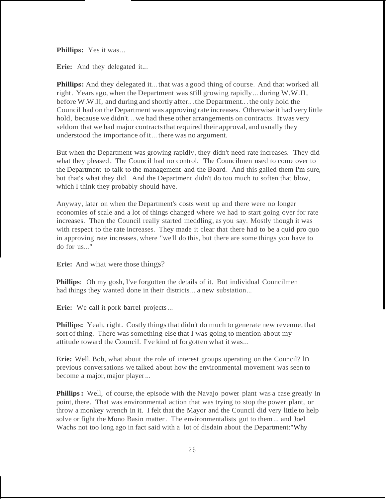**Phillips:** Yes it was...

**Erie:** And they delegated it...

**Phillips:** And they delegated it...that was a good thing of course. And that worked all right. Years ago, when the Department was still growing rapidly... during W.W.II, before W.W.II, and during and shortly after...the Department...the only hold the Council had on the Department was approving rate increases. Otherwise it had very little hold, because we didn't... we had these other arrangements on contracts. Itwas very seldom that we had major contracts that required their approval, and usually they understood the importance of it... there was no argument.

But when the Department was growing rapidly, they didn't need rate increases. They did what they pleased. The Council had no control. The Councilmen used to come over to the Department to talk to the management and the Board. And this galled them I'm sure, but that's what they did. And the Department didn't do too much to soften that blow, which I think they probably should have.

Anyway, later on when the Department's costs went up and there were no longer economies of scale and a lot of things changed where we had to start going over for rate increases. Then the Council really started meddling, as you say. Mostly though it was with respect to the rate increases. They made it clear that there had to be a quid pro quo in approving rate increases, where "we'll do this, but there are some things you have to do for us..."

**Erie:** And what were those things?

**Phillips**: Oh my gosh, I've forgotten the details of it. But individual Councilmen had things they wanted done in their districts... a new substation...

Erie: We call it pork barrel projects...

**Phillips:** Yeah, right. Costly things that didn't do much to generate new revenue, that sort of thing. There was something else that I was going to mention about my attitude toward the Council. I've kind of forgotten what it was...

**Erie:** Well, Bob, what about the role of interest groups operating on the Council? In previous conversations we talked about how the environmental movement was seen to become a major, major player...

**Phillips:** Well, of course, the episode with the Navajo power plant was a case greatly in point, there. That was environmental action that was trying to stop the power plant, or throw a monkey wrench in it. I felt that the Mayor and the Council did very little to help solve or fight the Mono Basin matter. The environmentalists got to them... and Joel Wachs not too long ago in fact said with a lot of disdain about the Department:"Why